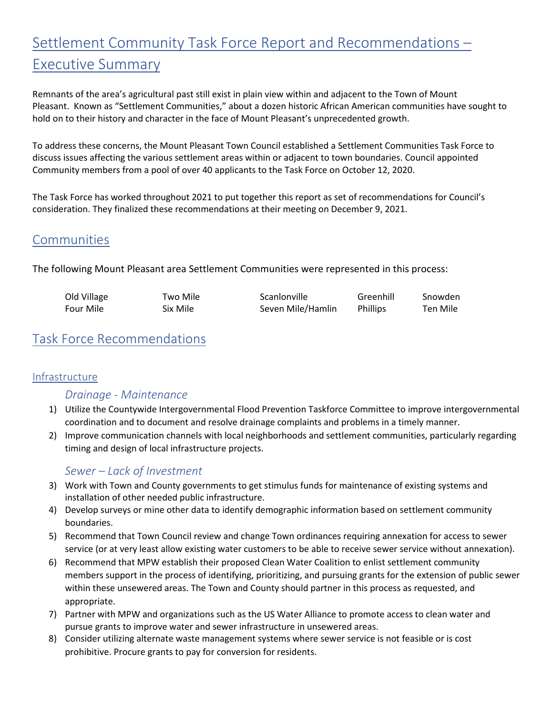# Settlement Community Task Force Report and Recommendations – Executive Summary

Remnants of the area's agricultural past still exist in plain view within and adjacent to the Town of Mount Pleasant. Known as "Settlement Communities," about a dozen historic African American communities have sought to hold on to their history and character in the face of Mount Pleasant's unprecedented growth.

To address these concerns, the Mount Pleasant Town Council established a Settlement Communities Task Force to discuss issues affecting the various settlement areas within or adjacent to town boundaries. Council appointed Community members from a pool of over 40 applicants to the Task Force on October 12, 2020.

The Task Force has worked throughout 2021 to put together this report as set of recommendations for Council's consideration. They finalized these recommendations at their meeting on December 9, 2021.

# Communities

The following Mount Pleasant area Settlement Communities were represented in this process:

| Old Village | Two Mile | Scanlonville      | Greenhill       | Snowden  |
|-------------|----------|-------------------|-----------------|----------|
| Four Mile   | Six Mile | Seven Mile/Hamlin | <b>Phillips</b> | Ten Mile |

# Task Force Recommendations

### Infrastructure

# *Drainage - Maintenance*

- 1) Utilize the Countywide Intergovernmental Flood Prevention Taskforce Committee to improve intergovernmental coordination and to document and resolve drainage complaints and problems in a timely manner.
- 2) Improve communication channels with local neighborhoods and settlement communities, particularly regarding timing and design of local infrastructure projects.

# *Sewer – Lack of Investment*

- 3) Work with Town and County governments to get stimulus funds for maintenance of existing systems and installation of other needed public infrastructure.
- 4) Develop surveys or mine other data to identify demographic information based on settlement community boundaries.
- 5) Recommend that Town Council review and change Town ordinances requiring annexation for access to sewer service (or at very least allow existing water customers to be able to receive sewer service without annexation).
- 6) Recommend that MPW establish their proposed Clean Water Coalition to enlist settlement community members support in the process of identifying, prioritizing, and pursuing grants for the extension of public sewer within these unsewered areas. The Town and County should partner in this process as requested, and appropriate.
- 7) Partner with MPW and organizations such as the US Water Alliance to promote access to clean water and pursue grants to improve water and sewer infrastructure in unsewered areas.
- 8) Consider utilizing alternate waste management systems where sewer service is not feasible or is cost prohibitive. Procure grants to pay for conversion for residents.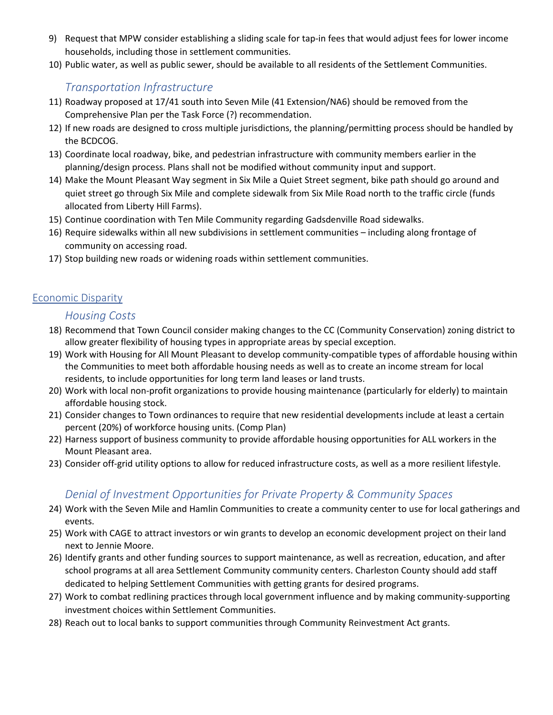- 9) Request that MPW consider establishing a sliding scale for tap-in fees that would adjust fees for lower income households, including those in settlement communities.
- 10) Public water, as well as public sewer, should be available to all residents of the Settlement Communities.

# *Transportation Infrastructure*

- 11) Roadway proposed at 17/41 south into Seven Mile (41 Extension/NA6) should be removed from the Comprehensive Plan per the Task Force (?) recommendation.
- 12) If new roads are designed to cross multiple jurisdictions, the planning/permitting process should be handled by the BCDCOG.
- 13) Coordinate local roadway, bike, and pedestrian infrastructure with community members earlier in the planning/design process. Plans shall not be modified without community input and support.
- 14) Make the Mount Pleasant Way segment in Six Mile a Quiet Street segment, bike path should go around and quiet street go through Six Mile and complete sidewalk from Six Mile Road north to the traffic circle (funds allocated from Liberty Hill Farms).
- 15) Continue coordination with Ten Mile Community regarding Gadsdenville Road sidewalks.
- 16) Require sidewalks within all new subdivisions in settlement communities including along frontage of community on accessing road.
- 17) Stop building new roads or widening roads within settlement communities.

#### Economic Disparity

#### *Housing Costs*

- 18) Recommend that Town Council consider making changes to the CC (Community Conservation) zoning district to allow greater flexibility of housing types in appropriate areas by special exception.
- 19) Work with Housing for All Mount Pleasant to develop community-compatible types of affordable housing within the Communities to meet both affordable housing needs as well as to create an income stream for local residents, to include opportunities for long term land leases or land trusts.
- 20) Work with local non-profit organizations to provide housing maintenance (particularly for elderly) to maintain affordable housing stock.
- 21) Consider changes to Town ordinances to require that new residential developments include at least a certain percent (20%) of workforce housing units. (Comp Plan)
- 22) Harness support of business community to provide affordable housing opportunities for ALL workers in the Mount Pleasant area.
- 23) Consider off-grid utility options to allow for reduced infrastructure costs, as well as a more resilient lifestyle.

# *Denial of Investment Opportunities for Private Property & Community Spaces*

- 24) Work with the Seven Mile and Hamlin Communities to create a community center to use for local gatherings and events.
- 25) Work with CAGE to attract investors or win grants to develop an economic development project on their land next to Jennie Moore.
- 26) Identify grants and other funding sources to support maintenance, as well as recreation, education, and after school programs at all area Settlement Community community centers. Charleston County should add staff dedicated to helping Settlement Communities with getting grants for desired programs.
- 27) Work to combat redlining practices through local government influence and by making community-supporting investment choices within Settlement Communities.
- 28) Reach out to local banks to support communities through Community Reinvestment Act grants.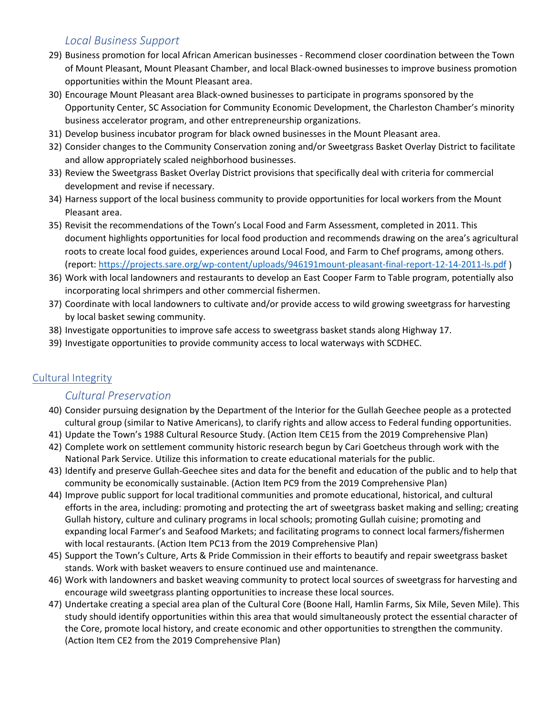## *Local Business Support*

- 29) Business promotion for local African American businesses Recommend closer coordination between the Town of Mount Pleasant, Mount Pleasant Chamber, and local Black-owned businesses to improve business promotion opportunities within the Mount Pleasant area.
- 30) Encourage Mount Pleasant area Black-owned businesses to participate in programs sponsored by the Opportunity Center, SC Association for Community Economic Development, the Charleston Chamber's minority business accelerator program, and other entrepreneurship organizations.
- 31) Develop business incubator program for black owned businesses in the Mount Pleasant area.
- 32) Consider changes to the Community Conservation zoning and/or Sweetgrass Basket Overlay District to facilitate and allow appropriately scaled neighborhood businesses.
- 33) Review the Sweetgrass Basket Overlay District provisions that specifically deal with criteria for commercial development and revise if necessary.
- 34) Harness support of the local business community to provide opportunities for local workers from the Mount Pleasant area.
- 35) Revisit the recommendations of the Town's Local Food and Farm Assessment, completed in 2011. This document highlights opportunities for local food production and recommends drawing on the area's agricultural roots to create local food guides, experiences around Local Food, and Farm to Chef programs, among others. (report:<https://projects.sare.org/wp-content/uploads/946191mount-pleasant-final-report-12-14-2011-ls.pdf> )
- 36) Work with local landowners and restaurants to develop an East Cooper Farm to Table program, potentially also incorporating local shrimpers and other commercial fishermen.
- 37) Coordinate with local landowners to cultivate and/or provide access to wild growing sweetgrass for harvesting by local basket sewing community.
- 38) Investigate opportunities to improve safe access to sweetgrass basket stands along Highway 17.
- 39) Investigate opportunities to provide community access to local waterways with SCDHEC.

### Cultural Integrity

### *Cultural Preservation*

- 40) Consider pursuing designation by the Department of the Interior for the Gullah Geechee people as a protected cultural group (similar to Native Americans), to clarify rights and allow access to Federal funding opportunities.
- 41) Update the Town's 1988 Cultural Resource Study. (Action Item CE15 from the 2019 Comprehensive Plan)
- 42) Complete work on settlement community historic research begun by Cari Goetcheus through work with the National Park Service. Utilize this information to create educational materials for the public.
- 43) Identify and preserve Gullah-Geechee sites and data for the benefit and education of the public and to help that community be economically sustainable. (Action Item PC9 from the 2019 Comprehensive Plan)
- 44) Improve public support for local traditional communities and promote educational, historical, and cultural efforts in the area, including: promoting and protecting the art of sweetgrass basket making and selling; creating Gullah history, culture and culinary programs in local schools; promoting Gullah cuisine; promoting and expanding local Farmer's and Seafood Markets; and facilitating programs to connect local farmers/fishermen with local restaurants. (Action Item PC13 from the 2019 Comprehensive Plan)
- 45) Support the Town's Culture, Arts & Pride Commission in their efforts to beautify and repair sweetgrass basket stands. Work with basket weavers to ensure continued use and maintenance.
- 46) Work with landowners and basket weaving community to protect local sources of sweetgrass for harvesting and encourage wild sweetgrass planting opportunities to increase these local sources.
- 47) Undertake creating a special area plan of the Cultural Core (Boone Hall, Hamlin Farms, Six Mile, Seven Mile). This study should identify opportunities within this area that would simultaneously protect the essential character of the Core, promote local history, and create economic and other opportunities to strengthen the community. (Action Item CE2 from the 2019 Comprehensive Plan)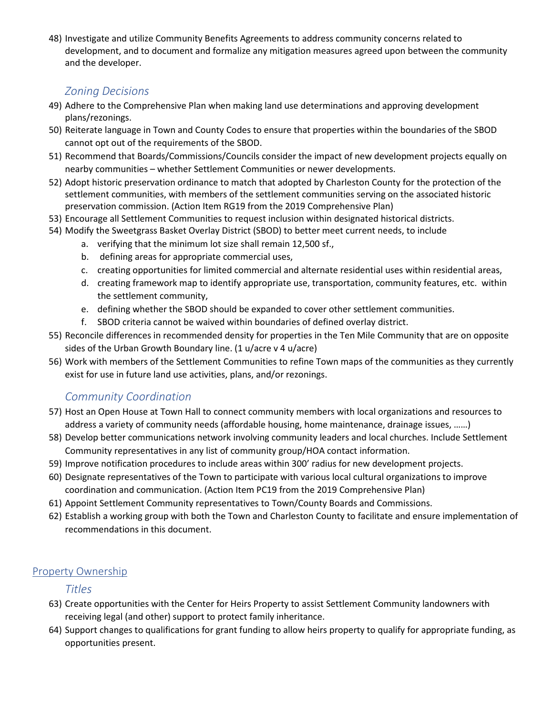48) Investigate and utilize Community Benefits Agreements to address community concerns related to development, and to document and formalize any mitigation measures agreed upon between the community and the developer.

# *Zoning Decisions*

- 49) Adhere to the Comprehensive Plan when making land use determinations and approving development plans/rezonings.
- 50) Reiterate language in Town and County Codes to ensure that properties within the boundaries of the SBOD cannot opt out of the requirements of the SBOD.
- 51) Recommend that Boards/Commissions/Councils consider the impact of new development projects equally on nearby communities – whether Settlement Communities or newer developments.
- 52) Adopt historic preservation ordinance to match that adopted by Charleston County for the protection of the settlement communities, with members of the settlement communities serving on the associated historic preservation commission. (Action Item RG19 from the 2019 Comprehensive Plan)
- 53) Encourage all Settlement Communities to request inclusion within designated historical districts.
- 54) Modify the Sweetgrass Basket Overlay District (SBOD) to better meet current needs, to include
	- a. verifying that the minimum lot size shall remain 12,500 sf.,
	- b. defining areas for appropriate commercial uses,
	- c. creating opportunities for limited commercial and alternate residential uses within residential areas,
	- d. creating framework map to identify appropriate use, transportation, community features, etc. within the settlement community,
	- e. defining whether the SBOD should be expanded to cover other settlement communities.
	- f. SBOD criteria cannot be waived within boundaries of defined overlay district.
- 55) Reconcile differences in recommended density for properties in the Ten Mile Community that are on opposite sides of the Urban Growth Boundary line. (1 u/acre v 4 u/acre)
- 56) Work with members of the Settlement Communities to refine Town maps of the communities as they currently exist for use in future land use activities, plans, and/or rezonings.

# *Community Coordination*

- 57) Host an Open House at Town Hall to connect community members with local organizations and resources to address a variety of community needs (affordable housing, home maintenance, drainage issues, ……)
- 58) Develop better communications network involving community leaders and local churches. Include Settlement Community representatives in any list of community group/HOA contact information.
- 59) Improve notification procedures to include areas within 300' radius for new development projects.
- 60) Designate representatives of the Town to participate with various local cultural organizations to improve coordination and communication. (Action Item PC19 from the 2019 Comprehensive Plan)
- 61) Appoint Settlement Community representatives to Town/County Boards and Commissions.
- 62) Establish a working group with both the Town and Charleston County to facilitate and ensure implementation of recommendations in this document.

#### Property Ownership

*Titles*

- 63) Create opportunities with the Center for Heirs Property to assist Settlement Community landowners with receiving legal (and other) support to protect family inheritance.
- 64) Support changes to qualifications for grant funding to allow heirs property to qualify for appropriate funding, as opportunities present.